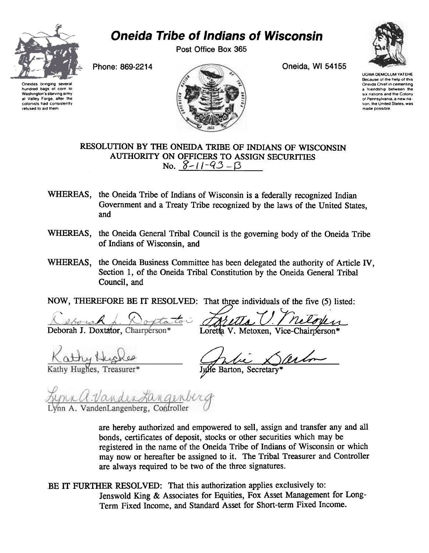

## Oneida Tribe of Indians of Wisconsin

Post Office Box 365



UGWA DEMOLUM YATEHE Because of the help of this Oneida Chief in cementing a friendship between the six nations and the Colony of Pennsylvania, a new nation, the United States, was made possible

Oneidas bringing severa hundred bags 01 corn to Washington's starving army at Valley Forge. after the colonists had consistently retused to aid them



RESOLUTION BY THE ONEIDA TRIBE OF INDIANS OF WISCONSIN AUTHORITY ON OFFICERS TO ASSIGN SECURITIES No.  $8 - 11 - 93 - B$ 

- WHEREAS, the Oneida Tribe of Indians of Wisconsin is a federally recognized Indian Government and a Treaty Tribe recognized by the laws of the United States, and
- WHEREAS, the Oneida General Tribal Council is the governing body of the Oneida Tribe of Indians of Wisconsin, and
- WHEREAS, the Oneida Business Committee has been delegated the authority of Article IV, Section 1, of the Oneida Tribal Constitution by the Oneida General Tribal Council, and

NOW, THEREFORE BE IT RESOLVED: That three individuals of the five (5) listed:

 $\mathcal{L} \left( \mathcal{L} \right)$ A Deborah J. Doxtator, Charrpérson<sup>3</sup>

Loretta V. Metoxen, Vice-Chairperson\*

Kathy Hughes, Treasurer\*

Julie Barton, Secretary

<u>Lynn A. Vander Langen</u>berg<br>Lynn A. VandenLangenberg, Controller

are hereby authorized and empowered to sell, assign and transfer any and all bonds, certificates of deposit, stocks or other securities which may be registered in the name of the Oneida Tribe of Indians of Wisconsin or which may now or hereafter be assigned to it. The Tribal Treasurer and Controller are always required to be two of the three signatures.

BE IT FURTHER RESOLVED: That this authorization applies exclusively to: Jenswold King & Associates for Equities, Fox Asset Management for Long-Term Fixed Income, and Standard Asset for Short-term Fixed Income.